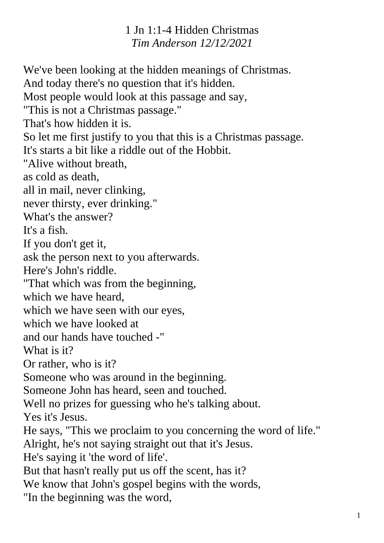1 Jn 1:1-4 Hidden Christmas *Tim Anderson 12/12/2021*

We've been looking at the hidden meanings of Christmas. And today there's no question that it's hidden. Most people would look at this passage and say, "This is not a Christmas passage." That's how hidden it is. So let me first justify to you that this is a Christmas passage. It's starts a bit like a riddle out of the Hobbit. "Alive without breath, as cold as death, all in mail, never clinking, never thirsty, ever drinking." What's the answer? It's a fish. If you don't get it, ask the person next to you afterwards. Here's John's riddle. "That which was from the beginning, which we have heard, which we have seen with our eyes, which we have looked at and our hands have touched -" What is it? Or rather, who is it? Someone who was around in the beginning. Someone John has heard, seen and touched. Well no prizes for guessing who he's talking about. Yes it's Jesus. He says, "This we proclaim to you concerning the word of life." Alright, he's not saying straight out that it's Jesus. He's saying it 'the word of life'. But that hasn't really put us off the scent, has it? We know that John's gospel begins with the words, "In the beginning was the word,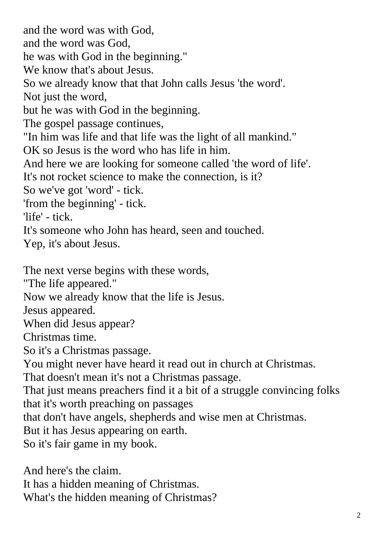and the word was with God, and the word was God, he was with God in the beginning." We know that's about Jesus. So we already know that that John calls Jesus 'the word'. Not just the word, but he was with God in the beginning. The gospel passage continues, "In him was life and that life was the light of all mankind." OK so Jesus is the word who has life in him. And here we are looking for someone called 'the word of life'. It's not rocket science to make the connection, is it? So we've got 'word' - tick. 'from the beginning' - tick. 'life' - tick. It's someone who John has heard, seen and touched. Yep, it's about Jesus. The next verse begins with these words, "The life appeared." Now we already know that the life is Jesus. Jesus appeared. When did Jesus appear? Christmas time. So it's a Christmas passage. You might never have heard it read out in church at Christmas. That doesn't mean it's not a Christmas passage. That just means preachers find it a bit of a struggle convincing folks that it's worth preaching on passages that don't have angels, shepherds and wise men at Christmas. But it has Jesus appearing on earth. So it's fair game in my book.

And here's the claim. It has a hidden meaning of Christmas. What's the hidden meaning of Christmas?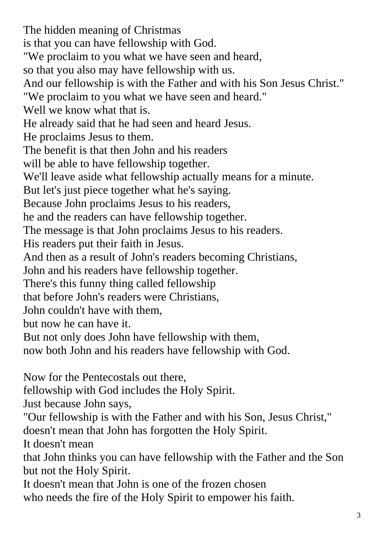The hidden meaning of Christmas is that you can have fellowship with God. "We proclaim to you what we have seen and heard, so that you also may have fellowship with us. And our fellowship is with the Father and with his Son Jesus Christ." "We proclaim to you what we have seen and heard." Well we know what that is. He already said that he had seen and heard Jesus. He proclaims Jesus to them. The benefit is that then John and his readers will be able to have fellowship together. We'll leave aside what fellowship actually means for a minute. But let's just piece together what he's saying. Because John proclaims Jesus to his readers, he and the readers can have fellowship together. The message is that John proclaims Jesus to his readers. His readers put their faith in Jesus. And then as a result of John's readers becoming Christians, John and his readers have fellowship together. There's this funny thing called fellowship that before John's readers were Christians, John couldn't have with them, but now he can have it. But not only does John have fellowship with them, now both John and his readers have fellowship with God. Now for the Pentecostals out there, fellowship with God includes the Holy Spirit.

Just because John says,

"Our fellowship is with the Father and with his Son, Jesus Christ," doesn't mean that John has forgotten the Holy Spirit.

It doesn't mean

that John thinks you can have fellowship with the Father and the Son but not the Holy Spirit.

It doesn't mean that John is one of the frozen chosen who needs the fire of the Holy Spirit to empower his faith.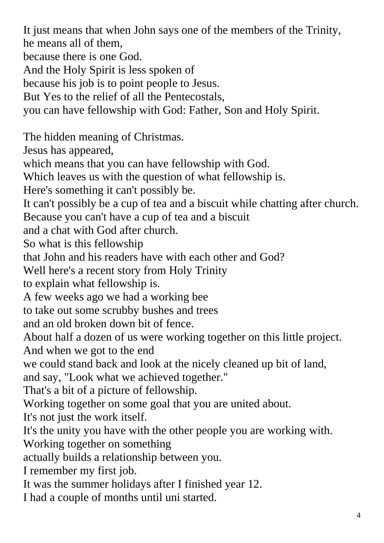It just means that when John says one of the members of the Trinity, he means all of them, because there is one God. And the Holy Spirit is less spoken of because his job is to point people to Jesus. But Yes to the relief of all the Pentecostals, you can have fellowship with God: Father, Son and Holy Spirit. The hidden meaning of Christmas. Jesus has appeared, which means that you can have fellowship with God. Which leaves us with the question of what fellowship is. Here's something it can't possibly be. It can't possibly be a cup of tea and a biscuit while chatting after church. Because you can't have a cup of tea and a biscuit and a chat with God after church. So what is this fellowship that John and his readers have with each other and God? Well here's a recent story from Holy Trinity to explain what fellowship is. A few weeks ago we had a working bee to take out some scrubby bushes and trees and an old broken down bit of fence. About half a dozen of us were working together on this little project. And when we got to the end we could stand back and look at the nicely cleaned up bit of land, and say, "Look what we achieved together." That's a bit of a picture of fellowship. Working together on some goal that you are united about. It's not just the work itself. It's the unity you have with the other people you are working with. Working together on something actually builds a relationship between you. I remember my first job. It was the summer holidays after I finished year 12. I had a couple of months until uni started.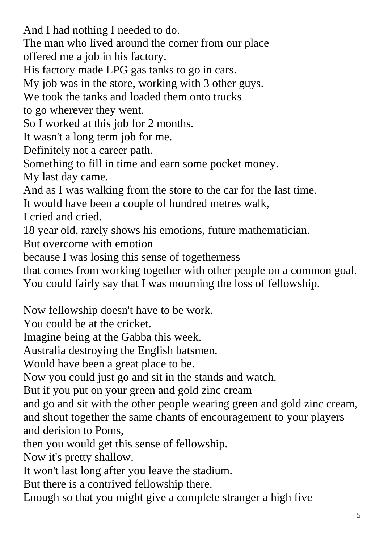And I had nothing I needed to do. The man who lived around the corner from our place offered me a job in his factory. His factory made LPG gas tanks to go in cars. My job was in the store, working with 3 other guys. We took the tanks and loaded them onto trucks to go wherever they went. So I worked at this job for 2 months. It wasn't a long term job for me. Definitely not a career path. Something to fill in time and earn some pocket money. My last day came. And as I was walking from the store to the car for the last time. It would have been a couple of hundred metres walk, I cried and cried. 18 year old, rarely shows his emotions, future mathematician. But overcome with emotion because I was losing this sense of togetherness that comes from working together with other people on a common goal. You could fairly say that I was mourning the loss of fellowship. Now fellowship doesn't have to be work. You could be at the cricket. Imagine being at the Gabba this week. Australia destroying the English batsmen. Would have been a great place to be. Now you could just go and sit in the stands and watch.

But if you put on your green and gold zinc cream

and go and sit with the other people wearing green and gold zinc cream, and shout together the same chants of encouragement to your players and derision to Poms,

then you would get this sense of fellowship.

Now it's pretty shallow.

It won't last long after you leave the stadium.

But there is a contrived fellowship there.

Enough so that you might give a complete stranger a high five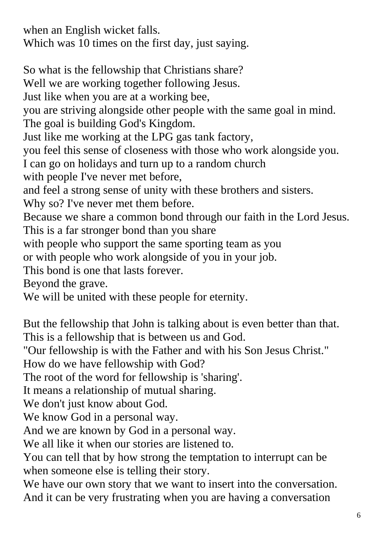when an English wicket falls. Which was 10 times on the first day, just saying.

So what is the fellowship that Christians share? Well we are working together following Jesus. Just like when you are at a working bee, you are striving alongside other people with the same goal in mind. The goal is building God's Kingdom. Just like me working at the LPG gas tank factory, you feel this sense of closeness with those who work alongside you. I can go on holidays and turn up to a random church with people I've never met before, and feel a strong sense of unity with these brothers and sisters. Why so? I've never met them before. Because we share a common bond through our faith in the Lord Jesus. This is a far stronger bond than you share with people who support the same sporting team as you or with people who work alongside of you in your job. This bond is one that lasts forever. Beyond the grave. We will be united with these people for eternity.

But the fellowship that John is talking about is even better than that. This is a fellowship that is between us and God.

"Our fellowship is with the Father and with his Son Jesus Christ."

How do we have fellowship with God?

The root of the word for fellowship is 'sharing'.

It means a relationship of mutual sharing.

We don't just know about God.

We know God in a personal way.

And we are known by God in a personal way.

We all like it when our stories are listened to.

You can tell that by how strong the temptation to interrupt can be when someone else is telling their story.

We have our own story that we want to insert into the conversation. And it can be very frustrating when you are having a conversation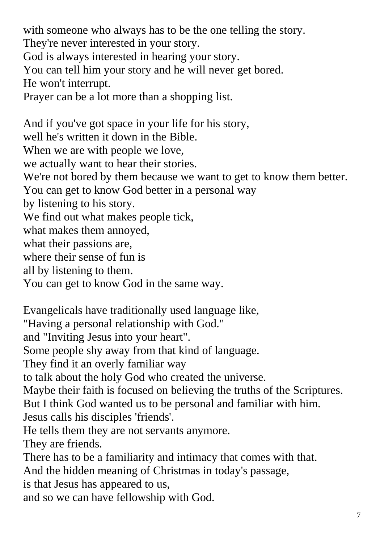with someone who always has to be the one telling the story. They're never interested in your story. God is always interested in hearing your story. You can tell him your story and he will never get bored. He won't interrupt. Prayer can be a lot more than a shopping list. And if you've got space in your life for his story, well he's written it down in the Bible. When we are with people we love, we actually want to hear their stories. We're not bored by them because we want to get to know them better. You can get to know God better in a personal way by listening to his story. We find out what makes people tick,

what makes them annoyed,

what their passions are,

where their sense of fun is

all by listening to them.

You can get to know God in the same way.

Evangelicals have traditionally used language like, "Having a personal relationship with God." and "Inviting Jesus into your heart". Some people shy away from that kind of language. They find it an overly familiar way to talk about the holy God who created the universe. Maybe their faith is focused on believing the truths of the Scriptures. But I think God wanted us to be personal and familiar with him. Jesus calls his disciples 'friends'. He tells them they are not servants anymore. They are friends. There has to be a familiarity and intimacy that comes with that. And the hidden meaning of Christmas in today's passage, is that Jesus has appeared to us, and so we can have fellowship with God.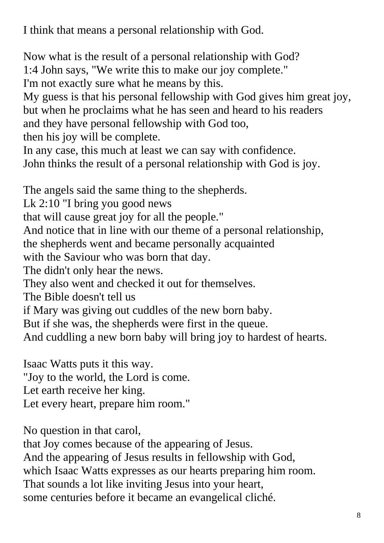I think that means a personal relationship with God.

Now what is the result of a personal relationship with God? 1:4 John says, "We write this to make our joy complete." I'm not exactly sure what he means by this.

My guess is that his personal fellowship with God gives him great joy, but when he proclaims what he has seen and heard to his readers and they have personal fellowship with God too,

then his joy will be complete.

In any case, this much at least we can say with confidence.

John thinks the result of a personal relationship with God is joy.

The angels said the same thing to the shepherds.

Lk 2:10 "I bring you good news

that will cause great joy for all the people."

And notice that in line with our theme of a personal relationship,

the shepherds went and became personally acquainted

with the Saviour who was born that day.

The didn't only hear the news.

They also went and checked it out for themselves.

The Bible doesn't tell us

if Mary was giving out cuddles of the new born baby.

But if she was, the shepherds were first in the queue.

And cuddling a new born baby will bring joy to hardest of hearts.

Isaac Watts puts it this way. "Joy to the world, the Lord is come. Let earth receive her king. Let every heart, prepare him room."

No question in that carol,

that Joy comes because of the appearing of Jesus. And the appearing of Jesus results in fellowship with God,

which Isaac Watts expresses as our hearts preparing him room.

That sounds a lot like inviting Jesus into your heart,

some centuries before it became an evangelical cliché.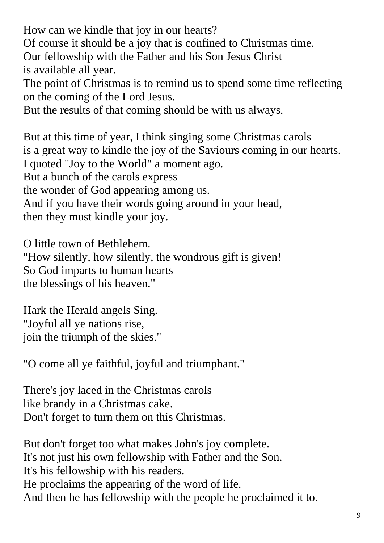How can we kindle that joy in our hearts? Of course it should be a joy that is confined to Christmas time. Our fellowship with the Father and his Son Jesus Christ is available all year. The point of Christmas is to remind us to spend some time reflecting on the coming of the Lord Jesus.

But the results of that coming should be with us always.

But at this time of year, I think singing some Christmas carols is a great way to kindle the joy of the Saviours coming in our hearts. I quoted "Joy to the World" a moment ago. But a bunch of the carols express the wonder of God appearing among us. And if you have their words going around in your head, then they must kindle your joy.

O little town of Bethlehem.

"How silently, how silently, the wondrous gift is given! So God imparts to human hearts the blessings of his heaven."

Hark the Herald angels Sing. "Joyful all ye nations rise, join the triumph of the skies."

"O come all ye faithful, joyful and triumphant."

There's joy laced in the Christmas carols like brandy in a Christmas cake. Don't forget to turn them on this Christmas.

But don't forget too what makes John's joy complete. It's not just his own fellowship with Father and the Son. It's his fellowship with his readers. He proclaims the appearing of the word of life. And then he has fellowship with the people he proclaimed it to.